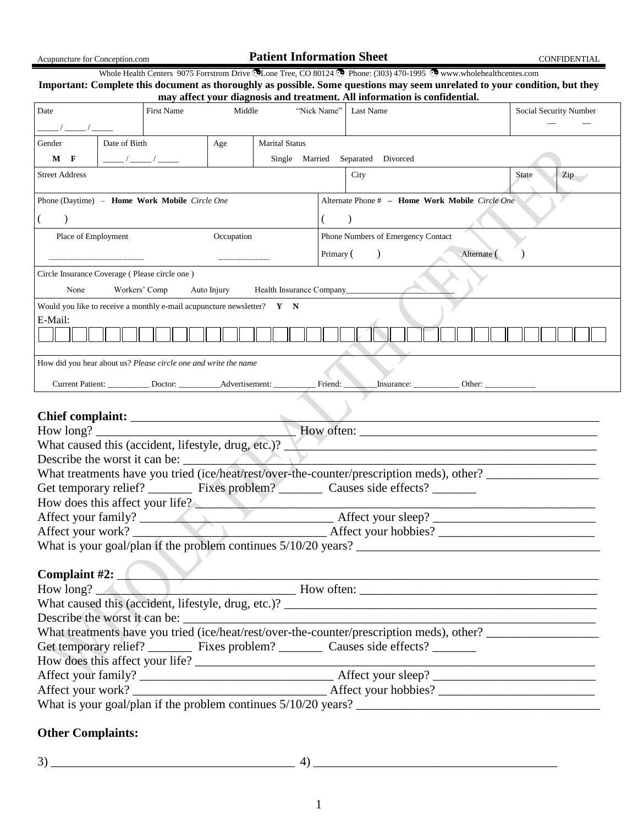| Acupuncture for Conception.com                                                                                    |                                                                                                     |                                                                                                                                            |        | <b>Patient Information Sheet</b>        |             |                    |                                                                                                                                                                                                                                                                                                                               | <b>CONFIDENTIAL</b>    |
|-------------------------------------------------------------------------------------------------------------------|-----------------------------------------------------------------------------------------------------|--------------------------------------------------------------------------------------------------------------------------------------------|--------|-----------------------------------------|-------------|--------------------|-------------------------------------------------------------------------------------------------------------------------------------------------------------------------------------------------------------------------------------------------------------------------------------------------------------------------------|------------------------|
|                                                                                                                   |                                                                                                     |                                                                                                                                            |        |                                         |             |                    | Whole Health Centers 9075 Forrstrom Drive CLone Tree, CO 80124 C Phone: (303) 470-1995 C www.wholehealthcentes.com<br>Important: Complete this document as thoroughly as possible. Some questions may seem unrelated to your condition, but they<br>may affect your diagnosis and treatment. All information is confidential. |                        |
| Date                                                                                                              |                                                                                                     | <b>First Name</b>                                                                                                                          | Middle |                                         | "Nick Name" | Last Name          |                                                                                                                                                                                                                                                                                                                               | Social Security Number |
| Gender<br>$M$ F                                                                                                   | Date of Birth                                                                                       | $\frac{1}{\sqrt{2}}$ / $\frac{1}{\sqrt{2}}$ / $\frac{1}{\sqrt{2}}$                                                                         | Age    | <b>Marital Status</b><br>Single Married |             | Separated Divorced |                                                                                                                                                                                                                                                                                                                               |                        |
| <b>Street Address</b>                                                                                             | City<br><b>State</b><br>Zip                                                                         |                                                                                                                                            |        |                                         |             |                    |                                                                                                                                                                                                                                                                                                                               |                        |
| Alternate Phone # - Home Work Mobile Circle One<br>Phone (Daytime) - Home Work Mobile Circle One                  |                                                                                                     |                                                                                                                                            |        |                                         |             |                    |                                                                                                                                                                                                                                                                                                                               |                        |
|                                                                                                                   | Place of Employment<br>Occupation<br>Phone Numbers of Emergency Contact<br>Alternate (<br>Primary ( |                                                                                                                                            |        |                                         |             |                    |                                                                                                                                                                                                                                                                                                                               |                        |
| Circle Insurance Coverage (Please circle one)<br>None<br>Workers' Comp<br>Auto Injury<br>Health Insurance Company |                                                                                                     |                                                                                                                                            |        |                                         |             |                    |                                                                                                                                                                                                                                                                                                                               |                        |
| Would you like to receive a monthly e-mail acupuncture newsletter? $Y \times N$<br>E-Mail:                        |                                                                                                     |                                                                                                                                            |        |                                         |             |                    |                                                                                                                                                                                                                                                                                                                               |                        |
|                                                                                                                   |                                                                                                     |                                                                                                                                            |        |                                         |             |                    |                                                                                                                                                                                                                                                                                                                               |                        |
|                                                                                                                   |                                                                                                     | How did you hear about us? Please circle one and write the name<br>Current Patient: ___________ Doctor: ____________ Advertisement: ______ |        |                                         | Friend:     |                    |                                                                                                                                                                                                                                                                                                                               |                        |
| Chief complaint:                                                                                                  |                                                                                                     |                                                                                                                                            |        |                                         |             |                    |                                                                                                                                                                                                                                                                                                                               |                        |

|                                                                                           | What caused this (accident, lifestyle, drug, etc.)?                                   |  |  |  |  |  |
|-------------------------------------------------------------------------------------------|---------------------------------------------------------------------------------------|--|--|--|--|--|
| Describe the worst it can be:                                                             |                                                                                       |  |  |  |  |  |
| What treatments have you tried (ice/heat/rest/over-the-counter/prescription meds), other? |                                                                                       |  |  |  |  |  |
| Get temporary relief? ___________ Fixes problem? _________ Causes side effects? _______   |                                                                                       |  |  |  |  |  |
| How does this affect your life?                                                           |                                                                                       |  |  |  |  |  |
|                                                                                           | Affect your family?<br>Affect your work?<br>Affect your work?<br>Affect your hobbies? |  |  |  |  |  |
|                                                                                           |                                                                                       |  |  |  |  |  |
|                                                                                           |                                                                                       |  |  |  |  |  |
|                                                                                           |                                                                                       |  |  |  |  |  |
| Complaint #2: $\blacksquare$                                                              |                                                                                       |  |  |  |  |  |
|                                                                                           | How long? Mow often: Mow often:                                                       |  |  |  |  |  |
|                                                                                           |                                                                                       |  |  |  |  |  |
| Describe the worst it can be:                                                             |                                                                                       |  |  |  |  |  |
| What treatments have you tried (ice/heat/rest/over-the-counter/prescription meds), other? |                                                                                       |  |  |  |  |  |
| Get temporary relief? ___________ Fixes problem? _________ Causes side effects? ________  |                                                                                       |  |  |  |  |  |
|                                                                                           |                                                                                       |  |  |  |  |  |
|                                                                                           |                                                                                       |  |  |  |  |  |

# What is your goal/plan if the problem continues 5/10/20 years? \_\_\_\_\_\_\_\_\_\_\_\_\_\_\_\_\_\_\_\_\_\_\_\_\_\_\_\_\_\_\_\_\_\_\_\_\_\_\_ **Other Complaints:**

3) \_\_\_\_\_\_\_\_\_\_\_\_\_\_\_\_\_\_\_\_\_\_\_\_\_\_\_\_\_\_\_\_\_\_\_\_\_\_\_ 4) \_\_\_\_\_\_\_\_\_\_\_\_\_\_\_\_\_\_\_\_\_\_\_\_\_\_\_\_\_\_\_\_\_\_\_\_\_\_\_

Affect your work? \_\_\_\_\_\_\_\_\_\_\_\_\_\_\_\_\_\_\_\_\_\_\_\_\_\_\_\_\_\_\_ Affect your hobbies? \_\_\_\_\_\_\_\_\_\_\_\_\_\_\_\_\_\_\_\_\_\_\_\_\_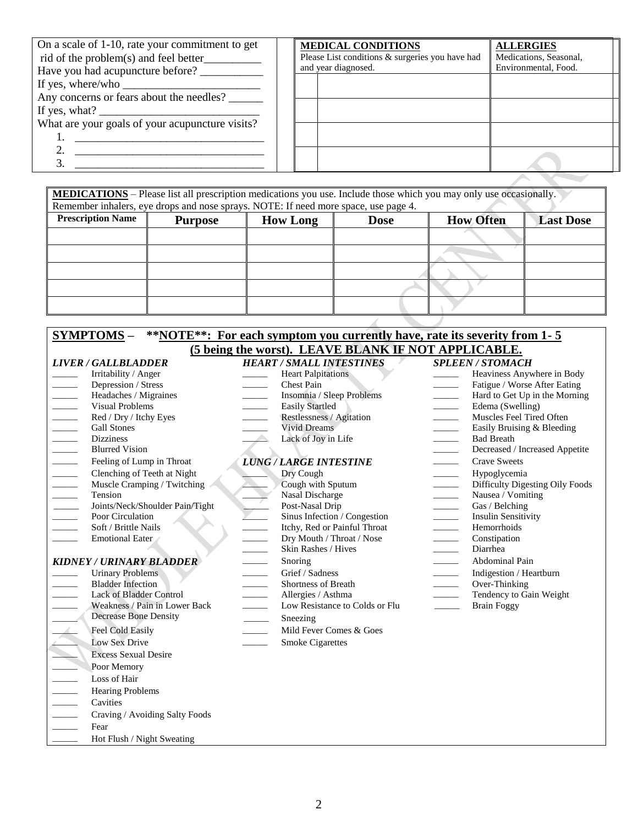| On a scale of 1-10, rate your commitment to get<br>Have you had acupuncture before?                          | <b>MEDICAL CONDITIONS</b><br>Please List conditions & surgeries you have had<br>and year diagnosed. | <b>ALLERGIES</b><br>Medications, Seasonal,<br>Environmental, Food. |
|--------------------------------------------------------------------------------------------------------------|-----------------------------------------------------------------------------------------------------|--------------------------------------------------------------------|
| If yes, where/who                                                                                            |                                                                                                     |                                                                    |
| Any concerns or fears about the needles?<br>If yes, what? $\frac{1}{\sqrt{1-\frac{1}{2}} \cdot \frac{1}{2}}$ |                                                                                                     |                                                                    |
| What are your goals of your acupuncture visits?                                                              |                                                                                                     |                                                                    |
|                                                                                                              |                                                                                                     |                                                                    |
|                                                                                                              |                                                                                                     |                                                                    |

| <b>MEDICATIONS</b> – Please list all prescription medications you use. Include those which you may only use occasionally. |                                                                                     |                 |             |                  |                  |  |  |
|---------------------------------------------------------------------------------------------------------------------------|-------------------------------------------------------------------------------------|-----------------|-------------|------------------|------------------|--|--|
|                                                                                                                           | Remember inhalers, eye drops and nose sprays. NOTE: If need more space, use page 4. |                 |             |                  |                  |  |  |
| <b>Prescription Name</b>                                                                                                  | <b>Purpose</b>                                                                      | <b>How Long</b> | <b>Dose</b> | <b>How Often</b> | <b>Last Dose</b> |  |  |
|                                                                                                                           |                                                                                     |                 |             |                  |                  |  |  |
|                                                                                                                           |                                                                                     |                 |             |                  |                  |  |  |
|                                                                                                                           |                                                                                     |                 |             |                  |                  |  |  |
|                                                                                                                           |                                                                                     |                 |             |                  |                  |  |  |
|                                                                                                                           |                                                                                     |                 |             |                  |                  |  |  |
|                                                                                                                           |                                                                                     |                 |             |                  |                  |  |  |

| <b>SYMPTOMS –</b>                                                                                                                                                                                                                                                                                                                                                                                                                                                                                                                                                                                                | <b>**NOTE**:</b> For each symptom you currently have, rate its severity from 1-5                                                                                                                                                                                                                                                       |                                                                                                                                                                                                                                                                                                                                                                                                                                                                                                                                                                                                                                                        |
|------------------------------------------------------------------------------------------------------------------------------------------------------------------------------------------------------------------------------------------------------------------------------------------------------------------------------------------------------------------------------------------------------------------------------------------------------------------------------------------------------------------------------------------------------------------------------------------------------------------|----------------------------------------------------------------------------------------------------------------------------------------------------------------------------------------------------------------------------------------------------------------------------------------------------------------------------------------|--------------------------------------------------------------------------------------------------------------------------------------------------------------------------------------------------------------------------------------------------------------------------------------------------------------------------------------------------------------------------------------------------------------------------------------------------------------------------------------------------------------------------------------------------------------------------------------------------------------------------------------------------------|
|                                                                                                                                                                                                                                                                                                                                                                                                                                                                                                                                                                                                                  | (5 being the worst). LEAVE BLANK IF NOT APPLICABLE.                                                                                                                                                                                                                                                                                    |                                                                                                                                                                                                                                                                                                                                                                                                                                                                                                                                                                                                                                                        |
| <b>LIVER / GALLBLADDER</b>                                                                                                                                                                                                                                                                                                                                                                                                                                                                                                                                                                                       | <b>HEART / SMALL INTESTINES</b>                                                                                                                                                                                                                                                                                                        | <b>SPLEEN / STOMACH</b>                                                                                                                                                                                                                                                                                                                                                                                                                                                                                                                                                                                                                                |
| Irritability / Anger<br>Depression / Stress<br>$\overline{\phantom{a}}$<br>Headaches / Migraines<br>$\overline{\phantom{a}}$<br>$\mathcal{L}_{\mathcal{A}}$<br><b>Visual Problems</b><br>Red / Dry / Itchy Eyes<br>$\overline{\phantom{a}}$<br>$\overline{\phantom{a}}$<br><b>Gall Stones</b><br><b>Dizziness</b><br>$\overline{\phantom{a}}$<br><b>Blurred Vision</b><br>Feeling of Lump in Throat<br>Clenching of Teeth at Night<br>Muscle Cramping / Twitching<br>$\overline{\phantom{a}}$<br>Tension<br>$\mathcal{L}_{\mathcal{A}}$<br>Joints/Neck/Shoulder Pain/Tight<br>Poor Circulation<br>$\sim 10^{-1}$ | <b>Heart Palpitations</b><br><b>Chest Pain</b><br>$\overline{\phantom{a}}$<br>Insomnia / Sleep Problems<br>Easily Startled<br>Restlessness / Agitation<br>Vivid Dreams<br>Lack of Joy in Life<br><b>LUNG / LARGE INTESTINE</b><br>Dry Cough<br>Cough with Sputum<br>Nasal Discharge<br>Post-Nasal Drip<br>Sinus Infection / Congestion | Heaviness Anywhere in Body<br>$\overline{\phantom{a}}$<br>Fatigue / Worse After Eating<br>Hard to Get Up in the Morning<br>Edema (Swelling)<br>$\overline{\phantom{a}}$<br>Muscles Feel Tired Often<br>$\overline{\phantom{a}}$<br>Easily Bruising & Bleeding<br><b>Bad Breath</b><br>Decreased / Increased Appetite<br><b>Crave Sweets</b><br>$\mathcal{L}^{\mathcal{L}}$ , and $\mathcal{L}^{\mathcal{L}}$<br>Hypoglycemia<br>Difficulty Digesting Oily Foods<br>$\overline{\phantom{a}}$<br>Nausea / Vomiting<br>$\overline{\phantom{a}}$<br>Gas / Belching<br>$\overline{\phantom{a}}$<br><b>Insulin Sensitivity</b><br>$\mathcal{L}^{\text{max}}$ |
| Soft / Brittle Nails<br>$\overline{\phantom{0}}$<br><b>Emotional Eater</b><br><b>KIDNEY / URINARY BLADDER</b><br><b>Urinary Problems</b><br><b>Bladder Infection</b><br>$\overline{\phantom{a}}$                                                                                                                                                                                                                                                                                                                                                                                                                 | Itchy, Red or Painful Throat<br>$\frac{1}{1}$<br>Dry Mouth / Throat / Nose<br>Skin Rashes / Hives<br>Snoring<br>$\overline{\phantom{a}}$<br>Grief / Sadness<br><b>Shortness of Breath</b><br>$\overline{\phantom{a}}$                                                                                                                  | Hemorrhoids<br>$\overline{\phantom{a}}$<br>Constipation<br>$\frac{1}{1}$<br>Diarrhea<br><b>Abdominal Pain</b><br>$\overline{\phantom{a}}$<br>Indigestion / Heartburn<br>Over-Thinking<br>$\overline{\phantom{a}}$                                                                                                                                                                                                                                                                                                                                                                                                                                      |
| Lack of Bladder Control<br>$\sim 10^{-1}$<br>Weakness / Pain in Lower Back<br><b>Decrease Bone Density</b><br>Feel Cold Easily<br><b>Low Sex Drive</b><br>$\geq$<br><b>Excess Sexual Desire</b><br>Poor Memory                                                                                                                                                                                                                                                                                                                                                                                                   | Allergies / Asthma<br>$\overline{\phantom{a}}$<br>Low Resistance to Colds or Flu<br>$\sim 10^{-1}$<br>Sneezing<br>Mild Fever Comes & Goes<br><b>Smoke Cigarettes</b>                                                                                                                                                                   | Tendency to Gain Weight<br>$\overline{\phantom{a}}$<br><b>Brain Foggy</b>                                                                                                                                                                                                                                                                                                                                                                                                                                                                                                                                                                              |
| $\overline{\phantom{a}}$<br>Loss of Hair<br>$\overline{\phantom{a}}$<br><b>Hearing Problems</b><br>Cavities<br>$\overline{\phantom{a}}$<br>Craving / Avoiding Salty Foods<br>$\overline{\phantom{a}}$<br>Fear<br>$\sim 10^{-11}$<br>Hot Flush / Night Sweating                                                                                                                                                                                                                                                                                                                                                   |                                                                                                                                                                                                                                                                                                                                        |                                                                                                                                                                                                                                                                                                                                                                                                                                                                                                                                                                                                                                                        |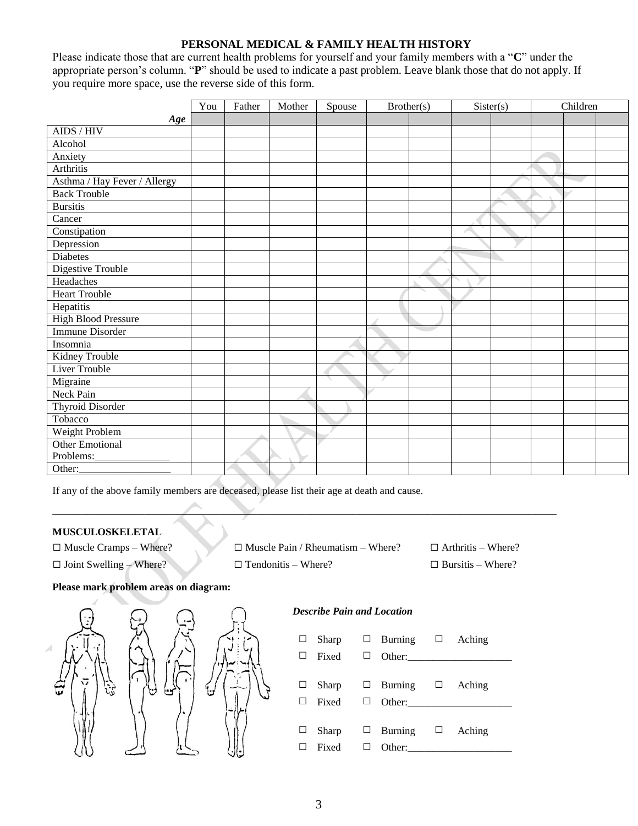### **PERSONAL MEDICAL & FAMILY HEALTH HISTORY**

Please indicate those that are current health problems for yourself and your family members with a "**C**" under the appropriate person's column. "**P**" should be used to indicate a past problem. Leave blank those that do not apply. If you require more space, use the reverse side of this form.

|                              | You | Father | Mother | Spouse | Brother(s) | Sister(s) |  | Children |  |
|------------------------------|-----|--------|--------|--------|------------|-----------|--|----------|--|
| Age                          |     |        |        |        |            |           |  |          |  |
| AIDS / HIV                   |     |        |        |        |            |           |  |          |  |
| Alcohol                      |     |        |        |        |            |           |  |          |  |
| Anxiety                      |     |        |        |        |            |           |  |          |  |
| Arthritis                    |     |        |        |        |            |           |  |          |  |
| Asthma / Hay Fever / Allergy |     |        |        |        |            |           |  |          |  |
| <b>Back Trouble</b>          |     |        |        |        |            |           |  |          |  |
| <b>Bursitis</b>              |     |        |        |        |            |           |  |          |  |
| Cancer                       |     |        |        |        |            |           |  |          |  |
| Constipation                 |     |        |        |        |            |           |  |          |  |
| Depression                   |     |        |        |        |            |           |  |          |  |
| Diabetes                     |     |        |        |        |            |           |  |          |  |
| <b>Digestive Trouble</b>     |     |        |        |        |            |           |  |          |  |
| Headaches                    |     |        |        |        |            |           |  |          |  |
| <b>Heart Trouble</b>         |     |        |        |        |            |           |  |          |  |
| Hepatitis                    |     |        |        |        |            |           |  |          |  |
| <b>High Blood Pressure</b>   |     |        |        |        |            |           |  |          |  |
| <b>Immune Disorder</b>       |     |        |        |        |            |           |  |          |  |
| Insomnia                     |     |        |        |        |            |           |  |          |  |
| Kidney Trouble               |     |        |        |        |            |           |  |          |  |
| Liver Trouble                |     |        |        |        |            |           |  |          |  |
| Migraine                     |     |        |        |        |            |           |  |          |  |
| Neck Pain                    |     |        |        |        |            |           |  |          |  |
| <b>Thyroid Disorder</b>      |     |        |        |        |            |           |  |          |  |
| Tobacco                      |     |        |        |        |            |           |  |          |  |
| Weight Problem               |     |        |        |        |            |           |  |          |  |
| Other Emotional              |     |        |        |        |            |           |  |          |  |
| Problems:_                   |     |        |        |        |            |           |  |          |  |
| Other:                       |     |        |        |        |            |           |  |          |  |

If any of the above family members are deceased, please list their age at death and cause.

#### **MUSCULOSKELETAL**

| $\Box$ Muscle Cramps – Where?  | $\Box$ Muscle Pain / Rheumatism – Where? | $\Box$ Arthritis – Where? |
|--------------------------------|------------------------------------------|---------------------------|
| $\Box$ Joint Swelling – Where? | $\Box$ Tendonitis – Where?               | $\Box$ Bursitis – Where?  |

 $\relax{\overbrace{\qquad \qquad }}$ 

### **Please mark problem areas on diagram:**



### *Describe Pain and Location*

| $\Box$<br>П       | Fixed $\Box$ | Sharp $\Box$ Burning $\Box$ Aching                           |  |
|-------------------|--------------|--------------------------------------------------------------|--|
| ⊔<br>ш            |              | Sharp $\Box$ Burning $\Box$ Aching                           |  |
| $\Box$<br>$\perp$ | Fixed        | Sharp $\Box$ Burning $\Box$ Aching<br>Other: $\qquad \qquad$ |  |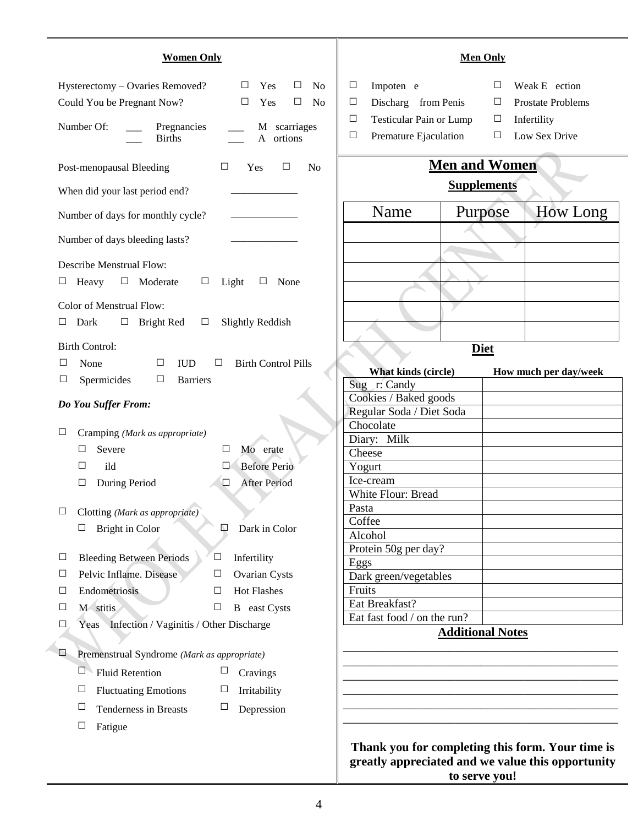| <b>Women Only</b>                                                                                                                                                                                                             | <b>Men Only</b>                                                                                                                                                                                                   |
|-------------------------------------------------------------------------------------------------------------------------------------------------------------------------------------------------------------------------------|-------------------------------------------------------------------------------------------------------------------------------------------------------------------------------------------------------------------|
| Hysterectomy - Ovaries Removed?<br>$\Box$<br>N <sub>0</sub><br>$\Box$<br>Yes<br>Could You be Pregnant Now?<br>$\Box$<br>N <sub>0</sub><br>□<br>Yes<br>Number Of:<br>M scarriages<br>Pregnancies<br>A ortions<br><b>Births</b> | Impoten e<br>□<br>Weak E ection<br>Ц<br>Prostate Problems<br>Discharg from Penis<br>$\Box$<br>$\Box$<br>Testicular Pain or Lump<br>Infertility<br>□<br>$\Box$<br>Low Sex Drive<br>Premature Ejaculation<br>□<br>□ |
| Post-menopausal Bleeding<br>$\Box$<br>Yes<br>□<br>N <sub>0</sub>                                                                                                                                                              | <b>Men and Women</b>                                                                                                                                                                                              |
| When did your last period end?                                                                                                                                                                                                | <b>Supplements</b>                                                                                                                                                                                                |
|                                                                                                                                                                                                                               | How Long<br>Name<br>Purpose                                                                                                                                                                                       |
| Number of days for monthly cycle?                                                                                                                                                                                             |                                                                                                                                                                                                                   |
| Number of days bleeding lasts?                                                                                                                                                                                                |                                                                                                                                                                                                                   |
| <b>Describe Menstrual Flow:</b><br>Heavy<br>$\Box$ Moderate<br>Light<br>None<br>⊔<br>$\Box$<br>$\Box$                                                                                                                         |                                                                                                                                                                                                                   |
| Color of Menstrual Flow:                                                                                                                                                                                                      |                                                                                                                                                                                                                   |
| Dark<br>$\Box$ Bright Red<br>Slightly Reddish<br>$\Box$<br>$\Box$                                                                                                                                                             |                                                                                                                                                                                                                   |
| <b>Birth Control:</b>                                                                                                                                                                                                         | <b>Diet</b>                                                                                                                                                                                                       |
| □<br>None<br>$\Box$<br><b>IUD</b><br>$\Box$<br><b>Birth Control Pills</b>                                                                                                                                                     | What kinds (circle)<br>How much per day/week                                                                                                                                                                      |
| $\Box$<br>Spermicides<br>$\Box$<br><b>Barriers</b>                                                                                                                                                                            | Sug r: Candy                                                                                                                                                                                                      |
| Do You Suffer From:                                                                                                                                                                                                           | Cookies / Baked goods                                                                                                                                                                                             |
|                                                                                                                                                                                                                               | Regular Soda / Diet Soda<br>Chocolate                                                                                                                                                                             |
| ⊔<br>Cramping (Mark as appropriate)                                                                                                                                                                                           | Diary: Milk                                                                                                                                                                                                       |
| Severe<br>$\Box$<br>□<br>Mo erate                                                                                                                                                                                             | Cheese                                                                                                                                                                                                            |
| <b>Before Perio</b><br>ild<br>□<br>□                                                                                                                                                                                          | Yogurt                                                                                                                                                                                                            |
| During Period<br>$\Box$<br><b>After Period</b><br>$\Box$                                                                                                                                                                      | Ice-cream                                                                                                                                                                                                         |
|                                                                                                                                                                                                                               | White Flour: Bread                                                                                                                                                                                                |
| Clotting (Mark as appropriate)                                                                                                                                                                                                | Pasta<br>Coffee                                                                                                                                                                                                   |
| Bright in Color<br>Dark in Color<br>□<br>$\mathbb{Z}$                                                                                                                                                                         | Alcohol                                                                                                                                                                                                           |
|                                                                                                                                                                                                                               | Protein 50g per day?                                                                                                                                                                                              |
| <b>Bleeding Between Periods</b><br>Infertility<br>$\Box$<br>$\Box$                                                                                                                                                            | Eggs                                                                                                                                                                                                              |
| Pelvic Inflame. Disease<br>$\Box$<br>$\Box$<br><b>Ovarian Cysts</b>                                                                                                                                                           | Dark green/vegetables                                                                                                                                                                                             |
| Endometriosis<br><b>Hot Flashes</b><br>$\Box$<br>$\Box$                                                                                                                                                                       | Fruits<br>Eat Breakfast?                                                                                                                                                                                          |
| M stitis<br>$\Box$<br><b>B</b> east Cysts<br>$\Box$                                                                                                                                                                           | Eat fast food / on the run?                                                                                                                                                                                       |
| Yeas Infection / Vaginitis / Other Discharge<br>$\Box$                                                                                                                                                                        | <b>Additional Notes</b>                                                                                                                                                                                           |
|                                                                                                                                                                                                                               |                                                                                                                                                                                                                   |
| $\Box$<br>Premenstrual Syndrome (Mark as appropriate)                                                                                                                                                                         |                                                                                                                                                                                                                   |
| $\Box$<br><b>Fluid Retention</b><br>$\Box$<br>Cravings                                                                                                                                                                        |                                                                                                                                                                                                                   |
| $\Box$<br><b>Fluctuating Emotions</b><br>$\Box$<br>Irritability                                                                                                                                                               |                                                                                                                                                                                                                   |
| $\Box$<br><b>Tenderness in Breasts</b><br>Ц<br>Depression                                                                                                                                                                     |                                                                                                                                                                                                                   |
| $\Box$<br>Fatigue                                                                                                                                                                                                             |                                                                                                                                                                                                                   |
|                                                                                                                                                                                                                               | Thank you for completing this form. Your time is<br>greatly appreciated and we value this opportunity                                                                                                             |

**to serve you!**